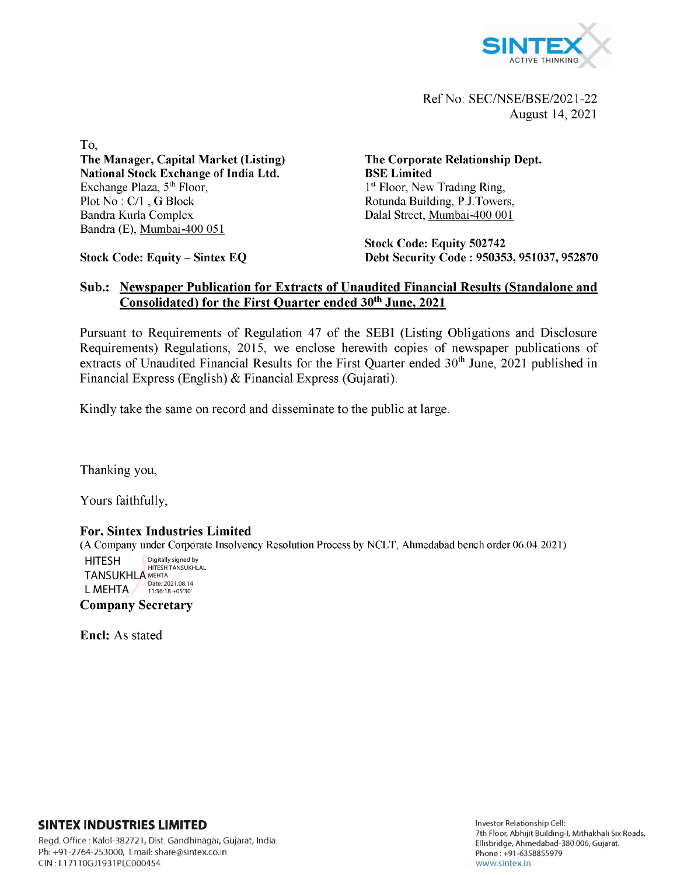

Ref No: SEC/NSE/BSE/2021-22 August 14, 2021

To, **The Manager, Capital Market (Listing) National Stock Exchange of India Ltd.** Exchange Plaza, 5<sup>th</sup> Floor, Plot No : C/1 , G Block Bandra Kurla Complex Bandra (E), Mumbai-400 051

**Stock Code: Equity - Sintex EQ**

**The Corporate Relationship Dept. BSE Limited** 1<sup>st</sup> Floor, New Trading Ring, Rotunda Building, P.J.Towers, Dalal Street, Mumbai-400 001

**Stock Code: Equity 502742 Debt Security Code : 950353, 951037, 952870**

## **Sub.: Newspaper Publication for Extracts of Unaudited Financial Results (Standalone and Consolidated) for the First Quarter ended 30th June, 2021**

Pursuant to Requirements of Regulation 47 of the SEBI (Listing Obligations and Disclosure Requirements) Regulations, 2015, we enclose herewith copies of newspaper publications of extracts of Unaudited Financial Results for the First Quarter ended 30<sup>th</sup> June, 2021 published in Financial Express (English) & Financial Express (Gujarati).

Kindly take the same on record and disseminate to the public at large.

Thanking you,

Yours faithfully,

## **For, Sintex Industries Limited**

(A Company under Corporate Insolvency Resolution Process by NCLT, Ahmedabad bench order 06.04.2021)

HITESH TANSUKHLA MEHTA L MEHTA Digitally signed by HITESH TANSUKHLAL Date: 2021.08.14 11:36:18 +05'30'

**Company Secretary**

**Encl:** As stated

## **SINTEX INDUSTRIES LIMITED**

Regd. Office: Kalol-382721, Dist. Gandhinagar, Gujarat, India. Ph: +91 -2764-253000, Email: [share@sintex.co.in](mailto:share@sintex.co.in) CIN : LI 7110GJ1931PLC000454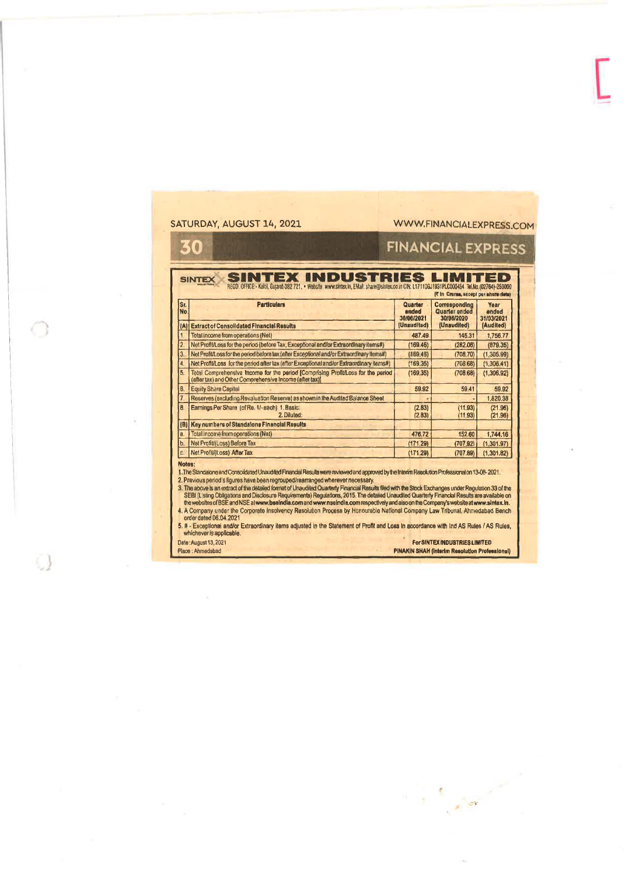| St.            |                                                                                                                                             |                                |                                              | REGD. OFFICE:- Kalol, Bujarat-382 721, . Website: www.sintex.in, Elkall: share@sintex.co.in CIN: L17110GJ1931PLC000454_Tel.No.(02764)-253000<br>(T in Crores, except per share data) |  |
|----------------|---------------------------------------------------------------------------------------------------------------------------------------------|--------------------------------|----------------------------------------------|--------------------------------------------------------------------------------------------------------------------------------------------------------------------------------------|--|
| No.            | <b>Particulars</b>                                                                                                                          | Quarter<br>ended<br>30/06/2021 | Corresponding<br>Quarter ended<br>30/06/2020 | Year<br>ended<br>31/03/2021                                                                                                                                                          |  |
|                | (A) Extract of Consolidated Financial Results                                                                                               | (Unaudited)                    | (Unaudited)                                  | (Audited)                                                                                                                                                                            |  |
| $\mathbf{1}$   | Total income from operations (Net)                                                                                                          | 487.49                         | 145.31                                       | 1,756.77                                                                                                                                                                             |  |
| $\overline{2}$ | Net Profit/Loss for the period (before Tax, Exceptional and/or Extraordinary items#)                                                        | (169.46)                       | (282.06)                                     | (879.35)                                                                                                                                                                             |  |
| 3.             | Net Profit/Loss for the period before tax (after Exceptional and/or Extreordinary Items#)                                                   | (169.46)                       | (708.70)                                     | (1,305.99)                                                                                                                                                                           |  |
| $\overline{4}$ | Net Profit/Loss for the period after lax (after Exceptional and/or Extraordinary Items#)                                                    | (169.35)                       | (708.68)                                     | (1,306,41)                                                                                                                                                                           |  |
| 5.             | Total Comprehensive Income for the period [Comprising Profit/Loss for the period<br>(after tax) and Olher Comprehensive Income (after tax)) | (169.35)                       | (708.68)                                     | (1,306,92)                                                                                                                                                                           |  |
| 6.             | <b>Equity Share Capital</b>                                                                                                                 | 59.92                          | 59.41                                        | 59.92                                                                                                                                                                                |  |
| 7.             | Reserves (excluding Revaluation Reserve) as shown in the Audited Balance Sheet                                                              |                                |                                              | 1.820.38                                                                                                                                                                             |  |
| $\theta$       | Earnings Per Share (of Re. 1/-each) 1. Basic:<br>2. Diluted:                                                                                | (2.83)<br>(2.83)               | (11.93)<br>(11.93)                           | (21.96)<br>(21.96)                                                                                                                                                                   |  |
|                | (B) Key numbers of Standalone Financial Results                                                                                             |                                |                                              |                                                                                                                                                                                      |  |
| a.             | Total income from operations (Nat)                                                                                                          | 476.72                         | 152.60                                       | 1,744.16                                                                                                                                                                             |  |
| b.             | Net Profit/(Loss) Before Tax                                                                                                                | (171.29)                       | (707.92)                                     | (1,301.97)                                                                                                                                                                           |  |
| c.             | Net Profit/(Loss) After Tax                                                                                                                 | (171.29)                       | (707.89)                                     | (1,301.82)                                                                                                                                                                           |  |

 $\label{eq:2} \mathcal{L}=\frac{1}{2}\sum_{i=1}^N\frac{1}{2\pi i}\sum_{i=1}^N\frac{1}{2\pi i}\sum_{i=1}^N\frac{1}{2\pi i}\sum_{i=1}^N\frac{1}{2\pi i}\sum_{i=1}^N\frac{1}{2\pi i}\sum_{i=1}^N\frac{1}{2\pi i}\sum_{i=1}^N\frac{1}{2\pi i}\sum_{i=1}^N\frac{1}{2\pi i}\sum_{i=1}^N\frac{1}{2\pi i}\sum_{i=1}^N\frac{1}{2\pi i}\sum_{i=1}^N\frac{1}{2\pi i}\sum_{$ 

 $\circ$ 

 $\mathcal{Q}$ 

 $\bar{\chi}$